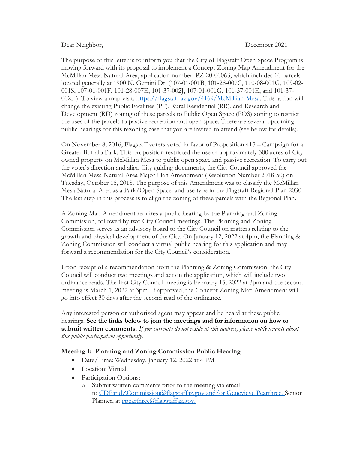## Dear Neighbor, December 2021

The purpose of this letter is to inform you that the City of Flagstaff Open Space Program is moving forward with its proposal to implement a Concept Zoning Map Amendment for the McMillan Mesa Natural Area, application number: PZ-20-00063, which includes 10 parcels located generally at 1900 N. Gemini Dr. (107-01-001B, 101-28-007C, 110-08-001G, 109-02- 001S, 107-01-001F, 101-28-007E, 101-37-002J, 107-01-001G, 101-37-001E, and 101-37- 002H). To view a map visit: https://flagstaff.az.gov/4169/McMillian-Mesa. This action will change the existing Public Facilities (PF), Rural Residential (RR), and Research and Development (RD) zoning of these parcels to Public Open Space (POS) zoning to restrict the uses of the parcels to passive recreation and open space. There are several upcoming public hearings for this rezoning case that you are invited to attend (see below for details).

On November 8, 2016, Flagstaff voters voted in favor of Proposition 413 – Campaign for a Greater Buffalo Park. This proposition restricted the use of approximately 300 acres of Cityowned property on McMillan Mesa to public open space and passive recreation. To carry out the voter's direction and align City guiding documents, the City Council approved the McMillan Mesa Natural Area Major Plan Amendment (Resolution Number 2018-50) on Tuesday, October 16, 2018. The purpose of this Amendment was to classify the McMillan Mesa Natural Area as a Park/Open Space land use type in the Flagstaff Regional Plan 2030. The last step in this process is to align the zoning of these parcels with the Regional Plan.

A Zoning Map Amendment requires a public hearing by the Planning and Zoning Commission, followed by two City Council meetings. The Planning and Zoning Commission serves as an advisory board to the City Council on matters relating to the growth and physical development of the City. On January 12, 2022 at 4pm, the Planning & Zoning Commission will conduct a virtual public hearing for this application and may forward a recommendation for the City Council's consideration.

Upon receipt of a recommendation from the Planning & Zoning Commission, the City Council will conduct two meetings and act on the application, which will include two ordinance reads. The first City Council meeting is February 15, 2022 at 3pm and the second meeting is March 1, 2022 at 3pm. If approved, the Concept Zoning Map Amendment will go into effect 30 days after the second read of the ordinance.

Any interested person or authorized agent may appear and be heard at these public hearings. See the links below to join the meetings and for information on how to submit written comments. If you currently do not reside at this address, please notify tenants about this public participation opportunity.

## Meeting 1: Planning and Zoning Commission Public Hearing

- Date/Time: Wednesday, January 12, 2022 at 4 PM
- Location: Virtual.
- Participation Options:
	- o Submit written comments prior to the meeting via email to CDPandZCommission@flagstaffaz.gov and/or Genevieve Pearthree, Senior Planner, at gpearthree@flagstaffaz.gov.